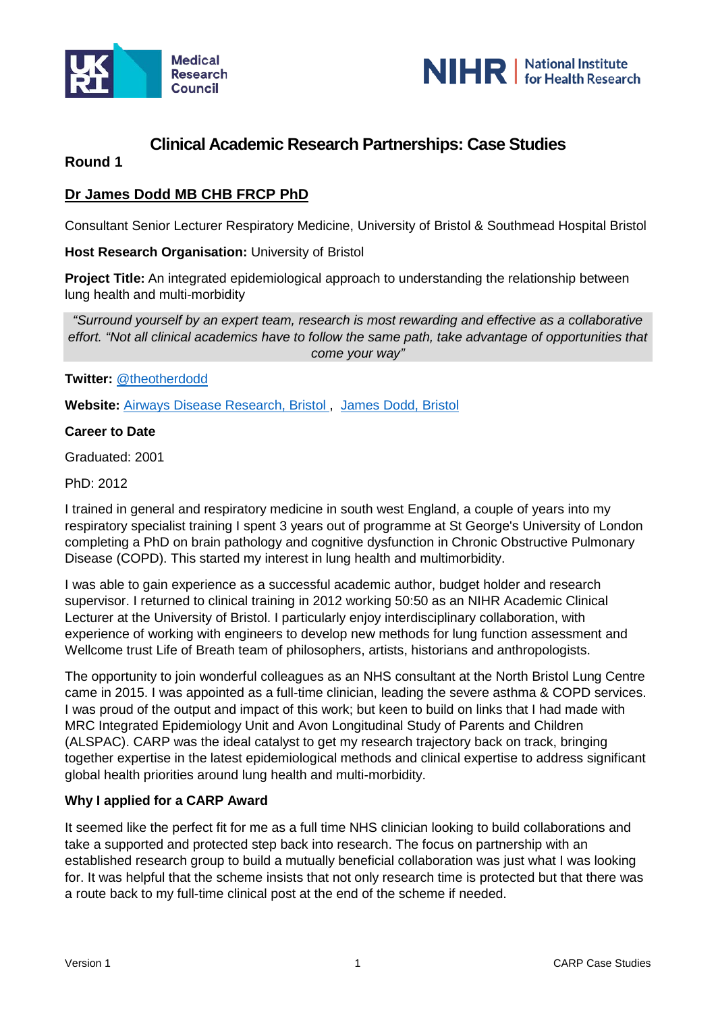



# **Clinical Academic Research Partnerships: Case Studies**

## **Round 1**

## **Dr James Dodd MB CHB FRCP PhD**

Consultant Senior Lecturer Respiratory Medicine, University of Bristol & Southmead Hospital Bristol

#### **Host Research Organisation:** University of Bristol

**Project Title:** An integrated epidemiological approach to understanding the relationship between lung health and multi-morbidity

*"Surround yourself by an expert team, research is most rewarding and effective as a collaborative effort. "Not all clinical academics have to follow the same path, take advantage of opportunities that come your way"*

**Twitter:** [@theotherdodd](https://twitter.com/theotherdodd?lang=en)

**Website:** [Airways Disease Research, Bristol ,](http://www.bristol.ac.uk/translational-health-sciences/research/respiratory/airways-disease-research/)[James Dodd, Bristol](http://www.bristol.ac.uk/clinical-sciences/people/23491/overview.html)

#### **Career to Date**

Graduated: 2001

PhD: 2012

I trained in general and respiratory medicine in south west England, a couple of years into my respiratory specialist training I spent 3 years out of programme at St George's University of London completing a PhD on brain pathology and cognitive dysfunction in Chronic Obstructive Pulmonary Disease (COPD). This started my interest in lung health and multimorbidity.

I was able to gain experience as a successful academic author, budget holder and research supervisor. I returned to clinical training in 2012 working 50:50 as an NIHR Academic Clinical Lecturer at the University of Bristol. I particularly enjoy interdisciplinary collaboration, with experience of working with engineers to develop new methods for lung function assessment and Wellcome trust Life of Breath team of philosophers, artists, historians and anthropologists.

The opportunity to join wonderful colleagues as an NHS consultant at the North Bristol Lung Centre came in 2015. I was appointed as a full-time clinician, leading the severe asthma & COPD services. I was proud of the output and impact of this work; but keen to build on links that I had made with MRC Integrated Epidemiology Unit and Avon Longitudinal Study of Parents and Children (ALSPAC). CARP was the ideal catalyst to get my research trajectory back on track, bringing together expertise in the latest epidemiological methods and clinical expertise to address significant global health priorities around lung health and multi-morbidity.

#### **Why I applied for a CARP Award**

It seemed like the perfect fit for me as a full time NHS clinician looking to build collaborations and take a supported and protected step back into research. The focus on partnership with an established research group to build a mutually beneficial collaboration was just what I was looking for. It was helpful that the scheme insists that not only research time is protected but that there was a route back to my full-time clinical post at the end of the scheme if needed.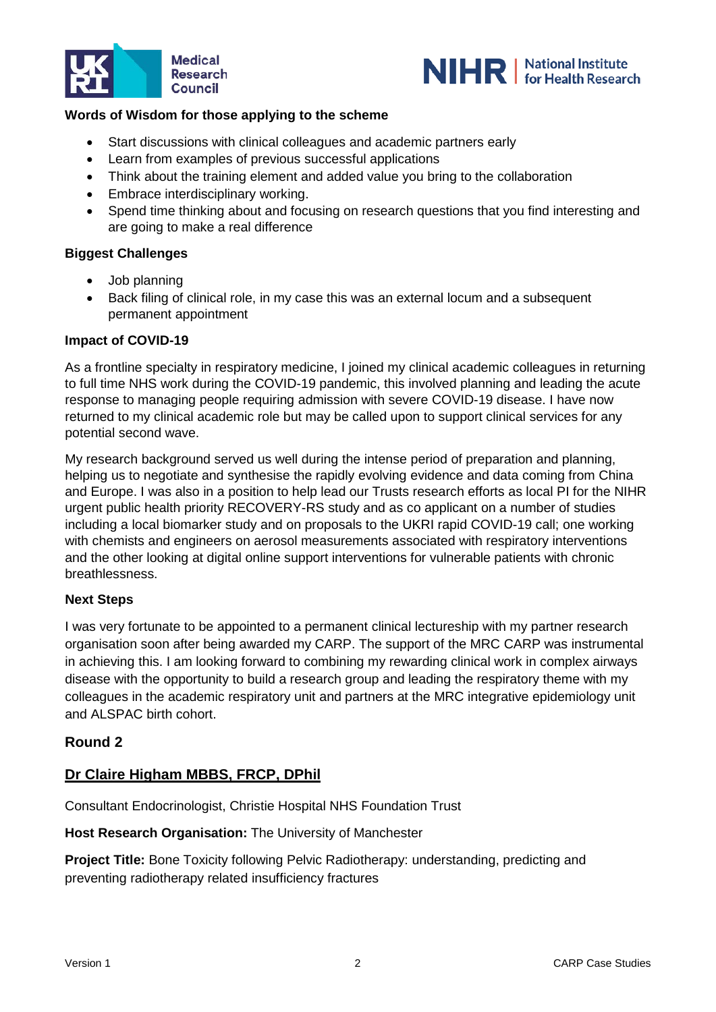



## **Words of Wisdom for those applying to the scheme**

- Start discussions with clinical colleagues and academic partners early
- Learn from examples of previous successful applications
- Think about the training element and added value you bring to the collaboration
- Embrace interdisciplinary working.
- Spend time thinking about and focusing on research questions that you find interesting and are going to make a real difference

## **Biggest Challenges**

- Job planning
- Back filing of clinical role, in my case this was an external locum and a subsequent permanent appointment

#### **Impact of COVID-19**

As a frontline specialty in respiratory medicine, I joined my clinical academic colleagues in returning to full time NHS work during the COVID-19 pandemic, this involved planning and leading the acute response to managing people requiring admission with severe COVID-19 disease. I have now returned to my clinical academic role but may be called upon to support clinical services for any potential second wave.

My research background served us well during the intense period of preparation and planning, helping us to negotiate and synthesise the rapidly evolving evidence and data coming from China and Europe. I was also in a position to help lead our Trusts research efforts as local PI for the NIHR urgent public health priority RECOVERY-RS study and as co applicant on a number of studies including a local biomarker study and on proposals to the UKRI rapid COVID-19 call; one working with chemists and engineers on aerosol measurements associated with respiratory interventions and the other looking at digital online support interventions for vulnerable patients with chronic breathlessness.

#### **Next Steps**

I was very fortunate to be appointed to a permanent clinical lectureship with my partner research organisation soon after being awarded my CARP. The support of the MRC CARP was instrumental in achieving this. I am looking forward to combining my rewarding clinical work in complex airways disease with the opportunity to build a research group and leading the respiratory theme with my colleagues in the academic respiratory unit and partners at the MRC integrative epidemiology unit and ALSPAC birth cohort.

## **Round 2**

## **Dr Claire Higham MBBS, FRCP, DPhil**

Consultant Endocrinologist, Christie Hospital NHS Foundation Trust

**Host Research Organisation:** The University of Manchester

**Project Title:** Bone Toxicity following Pelvic Radiotherapy: understanding, predicting and preventing radiotherapy related insufficiency fractures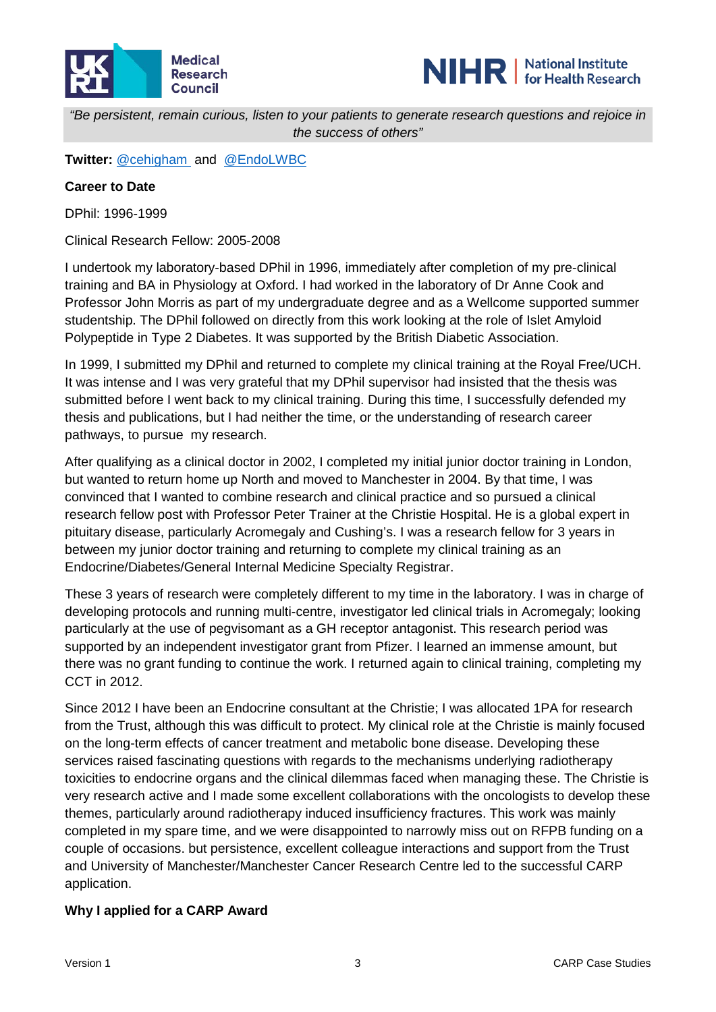



*"Be persistent, remain curious, listen to your patients to generate research questions and rejoice in the success of others"*

**Twitter:** [@cehigham](https://twitter.com/cehigham) and [@EndoLWBC](https://twitter.com/EndoLWBC)

#### **Career to Date**

DPhil: 1996-1999

Clinical Research Fellow: 2005-2008

I undertook my laboratory-based DPhil in 1996, immediately after completion of my pre-clinical training and BA in Physiology at Oxford. I had worked in the laboratory of Dr Anne Cook and Professor John Morris as part of my undergraduate degree and as a Wellcome supported summer studentship. The DPhil followed on directly from this work looking at the role of Islet Amyloid Polypeptide in Type 2 Diabetes. It was supported by the British Diabetic Association.

In 1999, I submitted my DPhil and returned to complete my clinical training at the Royal Free/UCH. It was intense and I was very grateful that my DPhil supervisor had insisted that the thesis was submitted before I went back to my clinical training. During this time, I successfully defended my thesis and publications, but I had neither the time, or the understanding of research career pathways, to pursue my research.

After qualifying as a clinical doctor in 2002, I completed my initial junior doctor training in London, but wanted to return home up North and moved to Manchester in 2004. By that time, I was convinced that I wanted to combine research and clinical practice and so pursued a clinical research fellow post with Professor Peter Trainer at the Christie Hospital. He is a global expert in pituitary disease, particularly Acromegaly and Cushing's. I was a research fellow for 3 years in between my junior doctor training and returning to complete my clinical training as an Endocrine/Diabetes/General Internal Medicine Specialty Registrar.

These 3 years of research were completely different to my time in the laboratory. I was in charge of developing protocols and running multi-centre, investigator led clinical trials in Acromegaly; looking particularly at the use of pegvisomant as a GH receptor antagonist. This research period was supported by an independent investigator grant from Pfizer. I learned an immense amount, but there was no grant funding to continue the work. I returned again to clinical training, completing my CCT in 2012.

Since 2012 I have been an Endocrine consultant at the Christie; I was allocated 1PA for research from the Trust, although this was difficult to protect. My clinical role at the Christie is mainly focused on the long-term effects of cancer treatment and metabolic bone disease. Developing these services raised fascinating questions with regards to the mechanisms underlying radiotherapy toxicities to endocrine organs and the clinical dilemmas faced when managing these. The Christie is very research active and I made some excellent collaborations with the oncologists to develop these themes, particularly around radiotherapy induced insufficiency fractures. This work was mainly completed in my spare time, and we were disappointed to narrowly miss out on RFPB funding on a couple of occasions. but persistence, excellent colleague interactions and support from the Trust and University of Manchester/Manchester Cancer Research Centre led to the successful CARP application.

#### **Why I applied for a CARP Award**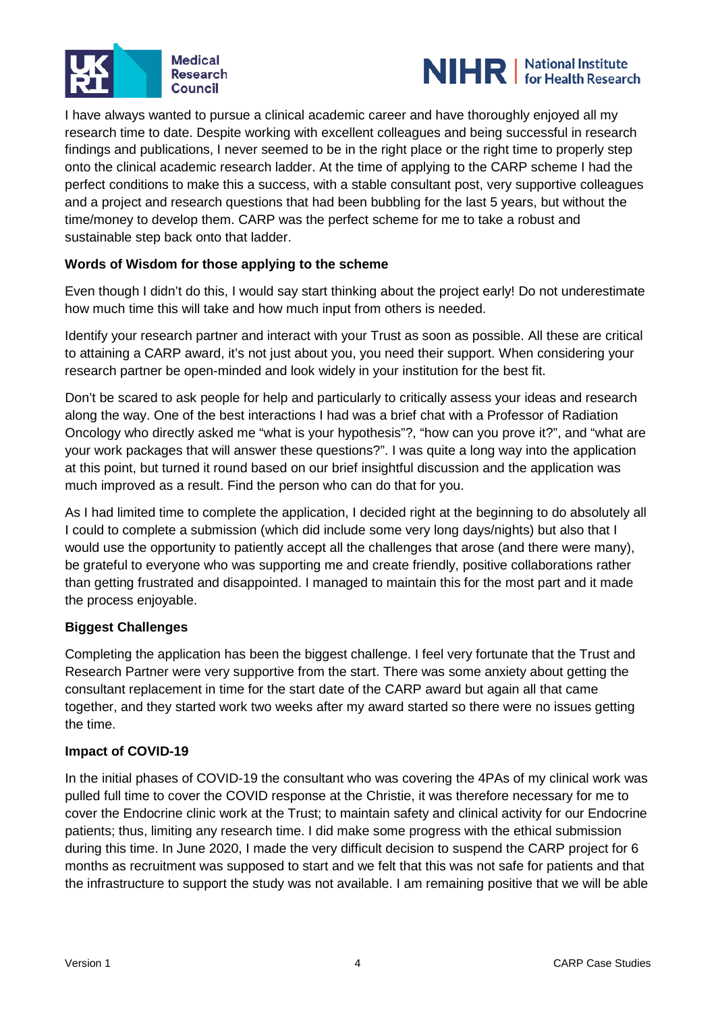



I have always wanted to pursue a clinical academic career and have thoroughly enjoyed all my research time to date. Despite working with excellent colleagues and being successful in research findings and publications, I never seemed to be in the right place or the right time to properly step onto the clinical academic research ladder. At the time of applying to the CARP scheme I had the perfect conditions to make this a success, with a stable consultant post, very supportive colleagues and a project and research questions that had been bubbling for the last 5 years, but without the time/money to develop them. CARP was the perfect scheme for me to take a robust and sustainable step back onto that ladder.

## **Words of Wisdom for those applying to the scheme**

Even though I didn't do this, I would say start thinking about the project early! Do not underestimate how much time this will take and how much input from others is needed.

Identify your research partner and interact with your Trust as soon as possible. All these are critical to attaining a CARP award, it's not just about you, you need their support. When considering your research partner be open-minded and look widely in your institution for the best fit.

Don't be scared to ask people for help and particularly to critically assess your ideas and research along the way. One of the best interactions I had was a brief chat with a Professor of Radiation Oncology who directly asked me "what is your hypothesis"?, "how can you prove it?", and "what are your work packages that will answer these questions?". I was quite a long way into the application at this point, but turned it round based on our brief insightful discussion and the application was much improved as a result. Find the person who can do that for you.

As I had limited time to complete the application, I decided right at the beginning to do absolutely all I could to complete a submission (which did include some very long days/nights) but also that I would use the opportunity to patiently accept all the challenges that arose (and there were many), be grateful to everyone who was supporting me and create friendly, positive collaborations rather than getting frustrated and disappointed. I managed to maintain this for the most part and it made the process enjoyable.

#### **Biggest Challenges**

Completing the application has been the biggest challenge. I feel very fortunate that the Trust and Research Partner were very supportive from the start. There was some anxiety about getting the consultant replacement in time for the start date of the CARP award but again all that came together, and they started work two weeks after my award started so there were no issues getting the time.

#### **Impact of COVID-19**

In the initial phases of COVID-19 the consultant who was covering the 4PAs of my clinical work was pulled full time to cover the COVID response at the Christie, it was therefore necessary for me to cover the Endocrine clinic work at the Trust; to maintain safety and clinical activity for our Endocrine patients; thus, limiting any research time. I did make some progress with the ethical submission during this time. In June 2020, I made the very difficult decision to suspend the CARP project for 6 months as recruitment was supposed to start and we felt that this was not safe for patients and that the infrastructure to support the study was not available. I am remaining positive that we will be able